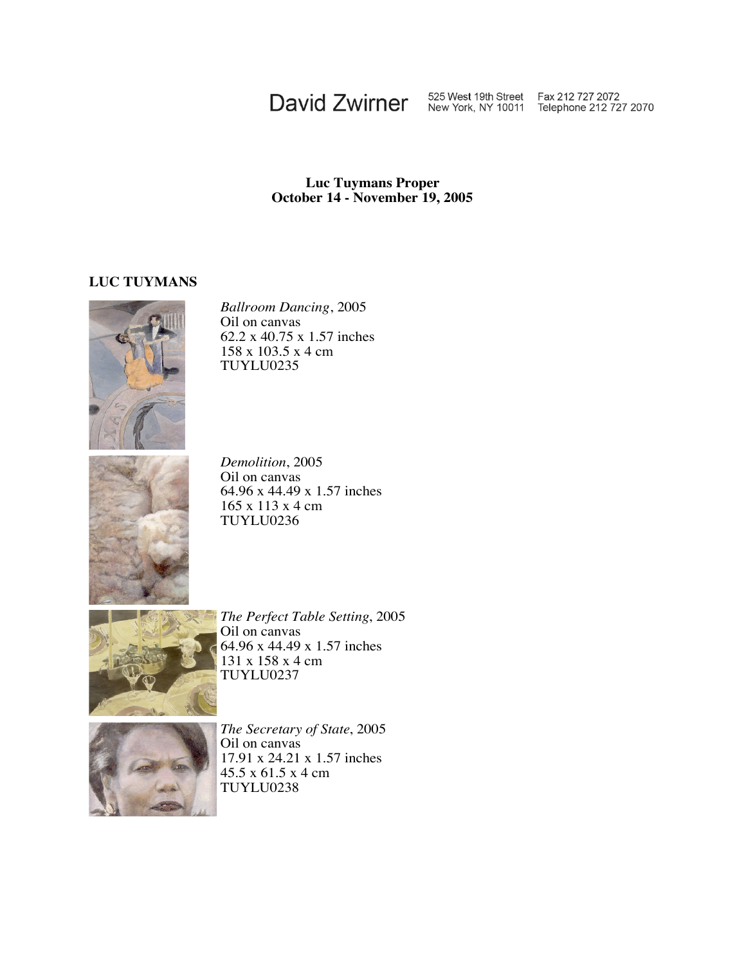## David Zwirner 525 West 19th Street Fax 212 727 2072<br>New York, NY 10011 Telephone 212 727 2070

## **Luc Tuymans Proper October 14 - November 19, 2005**

## **LUC TUYMANS**



*Ballroom Dancing*, 2005 Oil on canvas 62.2 x 40.75 x 1.57 inches 158 x 103.5 x 4 cm TUYLU0235



*Demolition*, 2005 Oil on canvas 64.96 x 44.49 x 1.57 inches 165 x 113 x 4 cm TUYLU0236



*The Perfect Table Setting*, 2005 Oil on canvas 64.96 x 44.49 x 1.57 inches 131 x 158 x 4 cm TUYLU0237



*The Secretary of State*, 2005 Oil on canvas 17.91 x 24.21 x 1.57 inches 45.5 x 61.5 x 4 cm TUYLU0238